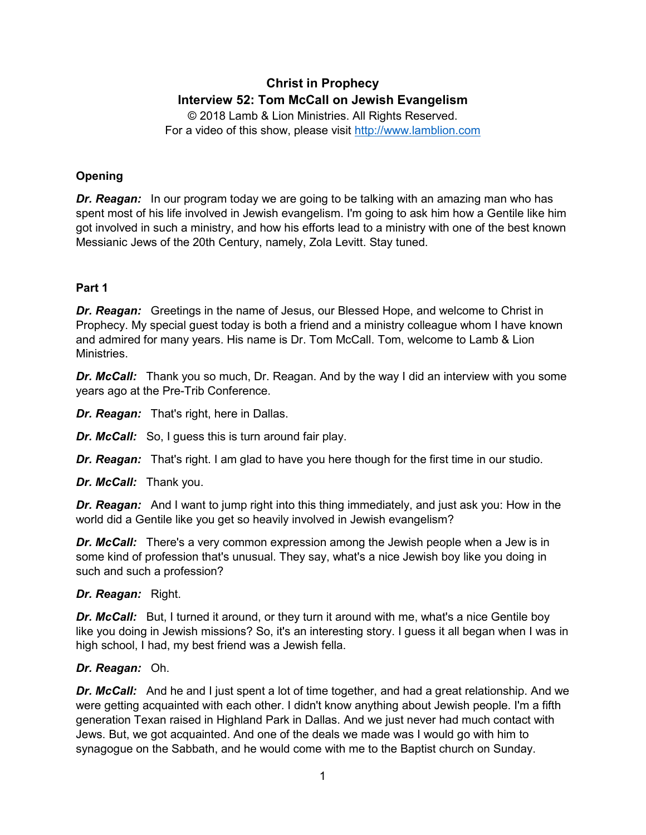# **Christ in Prophecy Interview 52: Tom McCall on Jewish Evangelism**

© 2018 Lamb & Lion Ministries. All Rights Reserved. For a video of this show, please visit [http://www.lamblion.com](http://www.lamblion.com/)

# **Opening**

*Dr. Reagan:* In our program today we are going to be talking with an amazing man who has spent most of his life involved in Jewish evangelism. I'm going to ask him how a Gentile like him got involved in such a ministry, and how his efforts lead to a ministry with one of the best known Messianic Jews of the 20th Century, namely, Zola Levitt. Stay tuned.

# **Part 1**

*Dr. Reagan:* Greetings in the name of Jesus, our Blessed Hope, and welcome to Christ in Prophecy. My special guest today is both a friend and a ministry colleague whom I have known and admired for many years. His name is Dr. Tom McCall. Tom, welcome to Lamb & Lion **Ministries** 

**Dr. McCall:** Thank you so much, Dr. Reagan. And by the way I did an interview with you some years ago at the Pre-Trib Conference.

*Dr. Reagan:* That's right, here in Dallas.

*Dr. McCall:* So, I guess this is turn around fair play.

*Dr. Reagan:* That's right. I am glad to have you here though for the first time in our studio.

*Dr. McCall:* Thank you.

*Dr. Reagan:* And I want to jump right into this thing immediately, and just ask you: How in the world did a Gentile like you get so heavily involved in Jewish evangelism?

*Dr. McCall:* There's a very common expression among the Jewish people when a Jew is in some kind of profession that's unusual. They say, what's a nice Jewish boy like you doing in such and such a profession?

## *Dr. Reagan:* Right.

**Dr. McCall:** But, I turned it around, or they turn it around with me, what's a nice Gentile boy like you doing in Jewish missions? So, it's an interesting story. I guess it all began when I was in high school, I had, my best friend was a Jewish fella.

# *Dr. Reagan:* Oh.

**Dr. McCall:** And he and I just spent a lot of time together, and had a great relationship. And we were getting acquainted with each other. I didn't know anything about Jewish people. I'm a fifth generation Texan raised in Highland Park in Dallas. And we just never had much contact with Jews. But, we got acquainted. And one of the deals we made was I would go with him to synagogue on the Sabbath, and he would come with me to the Baptist church on Sunday.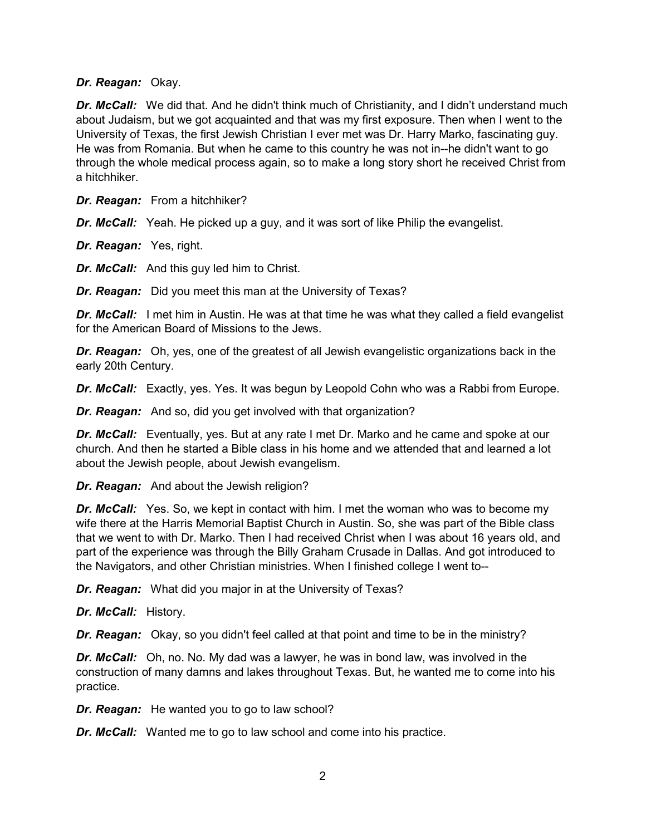#### *Dr. Reagan:* Okay.

**Dr. McCall:** We did that. And he didn't think much of Christianity, and I didn't understand much about Judaism, but we got acquainted and that was my first exposure. Then when I went to the University of Texas, the first Jewish Christian I ever met was Dr. Harry Marko, fascinating guy. He was from Romania. But when he came to this country he was not in--he didn't want to go through the whole medical process again, so to make a long story short he received Christ from a hitchhiker.

*Dr. Reagan:* From a hitchhiker?

*Dr. McCall:* Yeah. He picked up a guy, and it was sort of like Philip the evangelist.

*Dr. Reagan:* Yes, right.

*Dr. McCall:* And this guy led him to Christ.

*Dr. Reagan:* Did you meet this man at the University of Texas?

**Dr. McCall:** I met him in Austin. He was at that time he was what they called a field evangelist for the American Board of Missions to the Jews.

*Dr. Reagan:* Oh, yes, one of the greatest of all Jewish evangelistic organizations back in the early 20th Century.

*Dr. McCall:* Exactly, yes. Yes. It was begun by Leopold Cohn who was a Rabbi from Europe.

*Dr. Reagan:* And so, did you get involved with that organization?

**Dr. McCall:** Eventually, yes. But at any rate I met Dr. Marko and he came and spoke at our church. And then he started a Bible class in his home and we attended that and learned a lot about the Jewish people, about Jewish evangelism.

*Dr. Reagan:* And about the Jewish religion?

*Dr. McCall:* Yes. So, we kept in contact with him. I met the woman who was to become my wife there at the Harris Memorial Baptist Church in Austin. So, she was part of the Bible class that we went to with Dr. Marko. Then I had received Christ when I was about 16 years old, and part of the experience was through the Billy Graham Crusade in Dallas. And got introduced to the Navigators, and other Christian ministries. When I finished college I went to--

*Dr. Reagan:* What did you major in at the University of Texas?

*Dr. McCall:* History.

*Dr. Reagan:* Okay, so you didn't feel called at that point and time to be in the ministry?

*Dr. McCall:* Oh, no. No. My dad was a lawyer, he was in bond law, was involved in the construction of many damns and lakes throughout Texas. But, he wanted me to come into his practice.

*Dr. Reagan:* He wanted you to go to law school?

*Dr. McCall:* Wanted me to go to law school and come into his practice.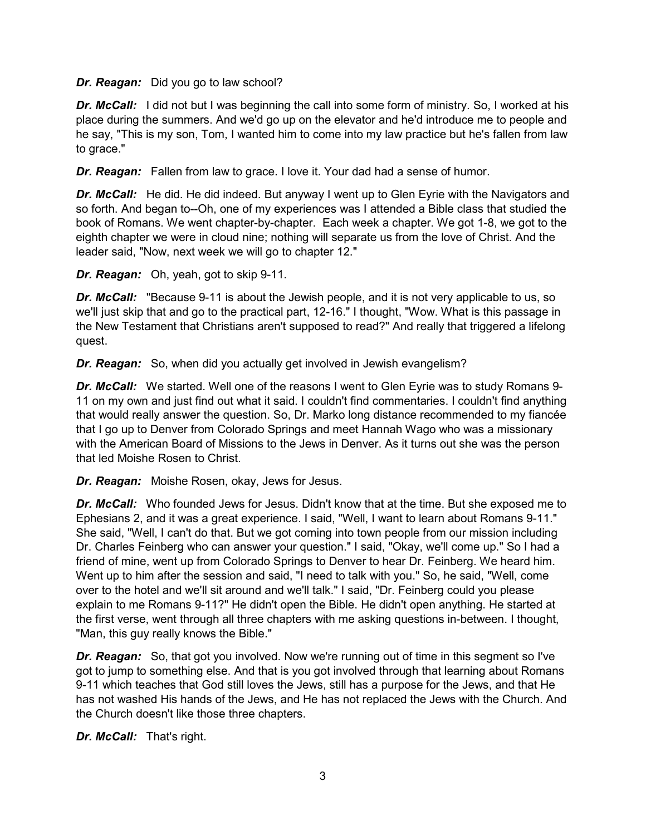## *Dr. Reagan:* Did you go to law school?

**Dr. McCall:** I did not but I was beginning the call into some form of ministry. So, I worked at his place during the summers. And we'd go up on the elevator and he'd introduce me to people and he say, "This is my son, Tom, I wanted him to come into my law practice but he's fallen from law to grace."

*Dr. Reagan:* Fallen from law to grace. I love it. Your dad had a sense of humor.

**Dr. McCall:** He did. He did indeed. But anyway I went up to Glen Eyrie with the Navigators and so forth. And began to--Oh, one of my experiences was I attended a Bible class that studied the book of Romans. We went chapter-by-chapter. Each week a chapter. We got 1-8, we got to the eighth chapter we were in cloud nine; nothing will separate us from the love of Christ. And the leader said, "Now, next week we will go to chapter 12."

*Dr. Reagan:* Oh, yeah, got to skip 9-11.

*Dr. McCall:* "Because 9-11 is about the Jewish people, and it is not very applicable to us, so we'll just skip that and go to the practical part, 12-16." I thought, "Wow. What is this passage in the New Testament that Christians aren't supposed to read?" And really that triggered a lifelong quest.

*Dr. Reagan:* So, when did you actually get involved in Jewish evangelism?

*Dr. McCall:* We started. Well one of the reasons I went to Glen Eyrie was to study Romans 9- 11 on my own and just find out what it said. I couldn't find commentaries. I couldn't find anything that would really answer the question. So, Dr. Marko long distance recommended to my fiancée that I go up to Denver from Colorado Springs and meet Hannah Wago who was a missionary with the American Board of Missions to the Jews in Denver. As it turns out she was the person that led Moishe Rosen to Christ.

*Dr. Reagan:* Moishe Rosen, okay, Jews for Jesus.

**Dr. McCall:** Who founded Jews for Jesus. Didn't know that at the time. But she exposed me to Ephesians 2, and it was a great experience. I said, "Well, I want to learn about Romans 9-11." She said, "Well, I can't do that. But we got coming into town people from our mission including Dr. Charles Feinberg who can answer your question." I said, "Okay, we'll come up." So I had a friend of mine, went up from Colorado Springs to Denver to hear Dr. Feinberg. We heard him. Went up to him after the session and said, "I need to talk with you." So, he said, "Well, come over to the hotel and we'll sit around and we'll talk." I said, "Dr. Feinberg could you please explain to me Romans 9-11?" He didn't open the Bible. He didn't open anything. He started at the first verse, went through all three chapters with me asking questions in-between. I thought, "Man, this guy really knows the Bible."

*Dr. Reagan:* So, that got you involved. Now we're running out of time in this segment so I've got to jump to something else. And that is you got involved through that learning about Romans 9-11 which teaches that God still loves the Jews, still has a purpose for the Jews, and that He has not washed His hands of the Jews, and He has not replaced the Jews with the Church. And the Church doesn't like those three chapters.

*Dr. McCall:* That's right.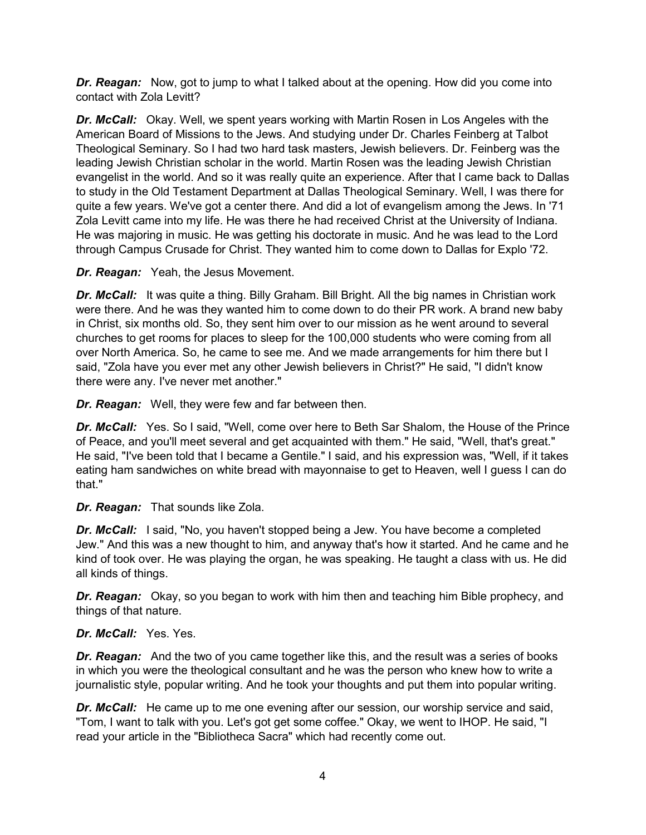*Dr. Reagan:* Now, got to jump to what I talked about at the opening. How did you come into contact with Zola Levitt?

*Dr. McCall:* Okay. Well, we spent years working with Martin Rosen in Los Angeles with the American Board of Missions to the Jews. And studying under Dr. Charles Feinberg at Talbot Theological Seminary. So I had two hard task masters, Jewish believers. Dr. Feinberg was the leading Jewish Christian scholar in the world. Martin Rosen was the leading Jewish Christian evangelist in the world. And so it was really quite an experience. After that I came back to Dallas to study in the Old Testament Department at Dallas Theological Seminary. Well, I was there for quite a few years. We've got a center there. And did a lot of evangelism among the Jews. In '71 Zola Levitt came into my life. He was there he had received Christ at the University of Indiana. He was majoring in music. He was getting his doctorate in music. And he was lead to the Lord through Campus Crusade for Christ. They wanted him to come down to Dallas for Explo '72.

*Dr. Reagan:* Yeah, the Jesus Movement.

**Dr. McCall:** It was quite a thing. Billy Graham. Bill Bright. All the big names in Christian work were there. And he was they wanted him to come down to do their PR work. A brand new baby in Christ, six months old. So, they sent him over to our mission as he went around to several churches to get rooms for places to sleep for the 100,000 students who were coming from all over North America. So, he came to see me. And we made arrangements for him there but I said, "Zola have you ever met any other Jewish believers in Christ?" He said, "I didn't know there were any. I've never met another."

*Dr. Reagan:* Well, they were few and far between then.

*Dr. McCall:* Yes. So I said, "Well, come over here to Beth Sar Shalom, the House of the Prince of Peace, and you'll meet several and get acquainted with them." He said, "Well, that's great." He said, "I've been told that I became a Gentile." I said, and his expression was, "Well, if it takes eating ham sandwiches on white bread with mayonnaise to get to Heaven, well I guess I can do that."

*Dr. Reagan:* That sounds like Zola.

*Dr. McCall:* I said, "No, you haven't stopped being a Jew. You have become a completed Jew." And this was a new thought to him, and anyway that's how it started. And he came and he kind of took over. He was playing the organ, he was speaking. He taught a class with us. He did all kinds of things.

*Dr. Reagan:* Okay, so you began to work with him then and teaching him Bible prophecy, and things of that nature.

*Dr. McCall:* Yes. Yes.

*Dr. Reagan:* And the two of you came together like this, and the result was a series of books in which you were the theological consultant and he was the person who knew how to write a journalistic style, popular writing. And he took your thoughts and put them into popular writing.

**Dr. McCall:** He came up to me one evening after our session, our worship service and said, "Tom, I want to talk with you. Let's got get some coffee." Okay, we went to IHOP. He said, "I read your article in the "Bibliotheca Sacra" which had recently come out.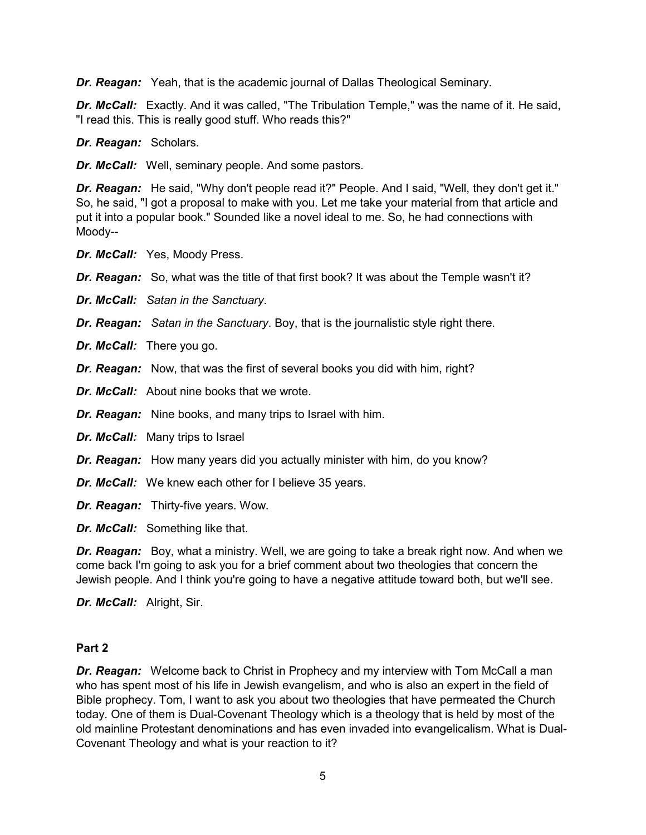*Dr. Reagan:* Yeah, that is the academic journal of Dallas Theological Seminary.

*Dr. McCall:* Exactly. And it was called, "The Tribulation Temple," was the name of it. He said, "I read this. This is really good stuff. Who reads this?"

*Dr. Reagan:* Scholars.

*Dr. McCall:* Well, seminary people. And some pastors.

*Dr. Reagan:* He said, "Why don't people read it?" People. And I said, "Well, they don't get it." So, he said, "I got a proposal to make with you. Let me take your material from that article and put it into a popular book." Sounded like a novel ideal to me. So, he had connections with Moody--

*Dr. McCall:* Yes, Moody Press.

*Dr. Reagan:* So, what was the title of that first book? It was about the Temple wasn't it?

*Dr. McCall: Satan in the Sanctuary*.

*Dr. Reagan: Satan in the Sanctuary*. Boy, that is the journalistic style right there.

*Dr. McCall:* There you go.

*Dr. Reagan:* Now, that was the first of several books you did with him, right?

*Dr. McCall:* About nine books that we wrote.

*Dr. Reagan:* Nine books, and many trips to Israel with him.

*Dr. McCall:* Many trips to Israel

*Dr. Reagan:* How many years did you actually minister with him, do you know?

*Dr. McCall:* We knew each other for I believe 35 years.

*Dr. Reagan:* Thirty-five years. Wow.

*Dr. McCall:* Something like that.

*Dr. Reagan:* Boy, what a ministry. Well, we are going to take a break right now. And when we come back I'm going to ask you for a brief comment about two theologies that concern the Jewish people. And I think you're going to have a negative attitude toward both, but we'll see.

*Dr. McCall:* Alright, Sir.

## **Part 2**

*Dr. Reagan:* Welcome back to Christ in Prophecy and my interview with Tom McCall a man who has spent most of his life in Jewish evangelism, and who is also an expert in the field of Bible prophecy. Tom, I want to ask you about two theologies that have permeated the Church today. One of them is Dual-Covenant Theology which is a theology that is held by most of the old mainline Protestant denominations and has even invaded into evangelicalism. What is Dual-Covenant Theology and what is your reaction to it?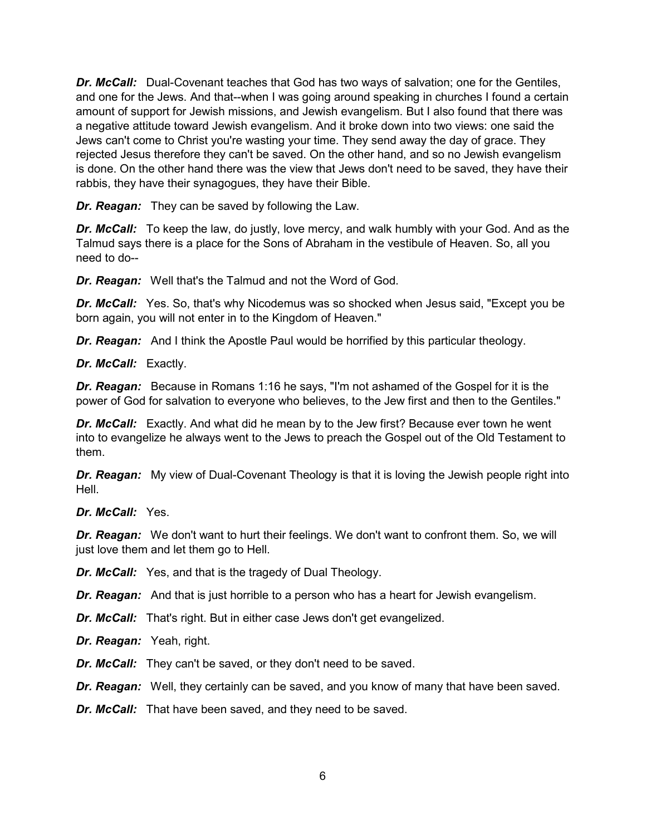*Dr. McCall:* Dual-Covenant teaches that God has two ways of salvation; one for the Gentiles, and one for the Jews. And that--when I was going around speaking in churches I found a certain amount of support for Jewish missions, and Jewish evangelism. But I also found that there was a negative attitude toward Jewish evangelism. And it broke down into two views: one said the Jews can't come to Christ you're wasting your time. They send away the day of grace. They rejected Jesus therefore they can't be saved. On the other hand, and so no Jewish evangelism is done. On the other hand there was the view that Jews don't need to be saved, they have their rabbis, they have their synagogues, they have their Bible.

*Dr. Reagan:* They can be saved by following the Law.

**Dr. McCall:** To keep the law, do justly, love mercy, and walk humbly with your God. And as the Talmud says there is a place for the Sons of Abraham in the vestibule of Heaven. So, all you need to do--

*Dr. Reagan:* Well that's the Talmud and not the Word of God.

*Dr. McCall:* Yes. So, that's why Nicodemus was so shocked when Jesus said, "Except you be born again, you will not enter in to the Kingdom of Heaven."

*Dr. Reagan:* And I think the Apostle Paul would be horrified by this particular theology.

*Dr. McCall:* Exactly.

*Dr. Reagan:* Because in Romans 1:16 he says, "I'm not ashamed of the Gospel for it is the power of God for salvation to everyone who believes, to the Jew first and then to the Gentiles."

*Dr. McCall:* Exactly. And what did he mean by to the Jew first? Because ever town he went into to evangelize he always went to the Jews to preach the Gospel out of the Old Testament to them.

**Dr. Reagan:** My view of Dual-Covenant Theology is that it is loving the Jewish people right into Hell.

*Dr. McCall:* Yes.

*Dr. Reagan:* We don't want to hurt their feelings. We don't want to confront them. So, we will just love them and let them go to Hell.

*Dr. McCall:* Yes, and that is the tragedy of Dual Theology.

*Dr. Reagan:* And that is just horrible to a person who has a heart for Jewish evangelism.

*Dr. McCall:* That's right. But in either case Jews don't get evangelized.

*Dr. Reagan:* Yeah, right.

*Dr. McCall:* They can't be saved, or they don't need to be saved.

*Dr. Reagan:* Well, they certainly can be saved, and you know of many that have been saved.

*Dr. McCall:* That have been saved, and they need to be saved.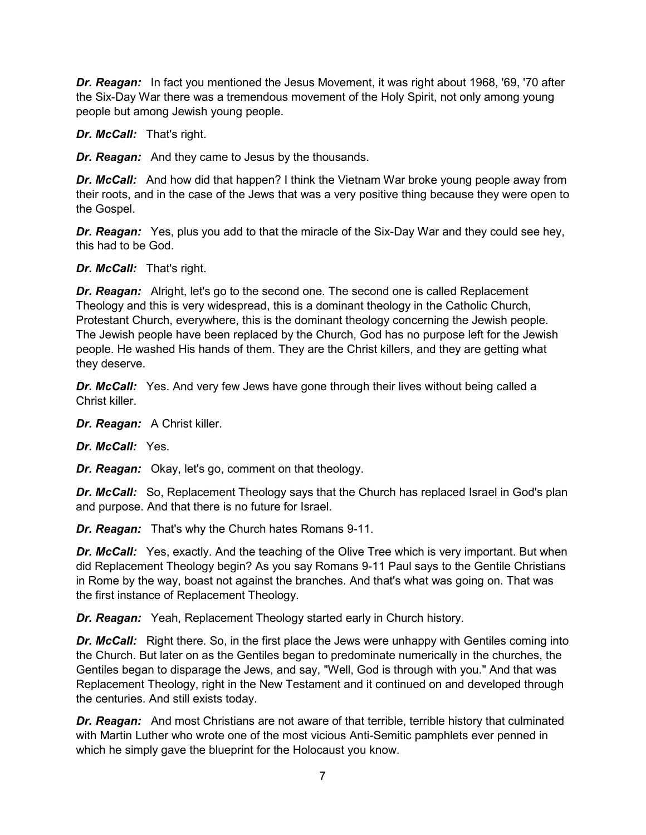*Dr. Reagan:* In fact you mentioned the Jesus Movement, it was right about 1968, '69, '70 after the Six-Day War there was a tremendous movement of the Holy Spirit, not only among young people but among Jewish young people.

*Dr. McCall:* That's right.

*Dr. Reagan:* And they came to Jesus by the thousands.

*Dr. McCall:* And how did that happen? I think the Vietnam War broke young people away from their roots, and in the case of the Jews that was a very positive thing because they were open to the Gospel.

*Dr. Reagan:* Yes, plus you add to that the miracle of the Six-Day War and they could see hey, this had to be God.

*Dr. McCall:* That's right.

*Dr. Reagan:* Alright, let's go to the second one. The second one is called Replacement Theology and this is very widespread, this is a dominant theology in the Catholic Church, Protestant Church, everywhere, this is the dominant theology concerning the Jewish people. The Jewish people have been replaced by the Church, God has no purpose left for the Jewish people. He washed His hands of them. They are the Christ killers, and they are getting what they deserve.

**Dr. McCall:** Yes. And very few Jews have gone through their lives without being called a Christ killer.

*Dr. Reagan:* A Christ killer.

*Dr. McCall:* Yes.

*Dr. Reagan:* Okay, let's go, comment on that theology.

*Dr. McCall:* So, Replacement Theology says that the Church has replaced Israel in God's plan and purpose. And that there is no future for Israel.

*Dr. Reagan:* That's why the Church hates Romans 9-11.

**Dr. McCall:** Yes, exactly. And the teaching of the Olive Tree which is very important. But when did Replacement Theology begin? As you say Romans 9-11 Paul says to the Gentile Christians in Rome by the way, boast not against the branches. And that's what was going on. That was the first instance of Replacement Theology.

*Dr. Reagan:* Yeah, Replacement Theology started early in Church history.

**Dr. McCall:** Right there. So, in the first place the Jews were unhappy with Gentiles coming into the Church. But later on as the Gentiles began to predominate numerically in the churches, the Gentiles began to disparage the Jews, and say, "Well, God is through with you." And that was Replacement Theology, right in the New Testament and it continued on and developed through the centuries. And still exists today.

*Dr. Reagan:* And most Christians are not aware of that terrible, terrible history that culminated with Martin Luther who wrote one of the most vicious Anti-Semitic pamphlets ever penned in which he simply gave the blueprint for the Holocaust you know.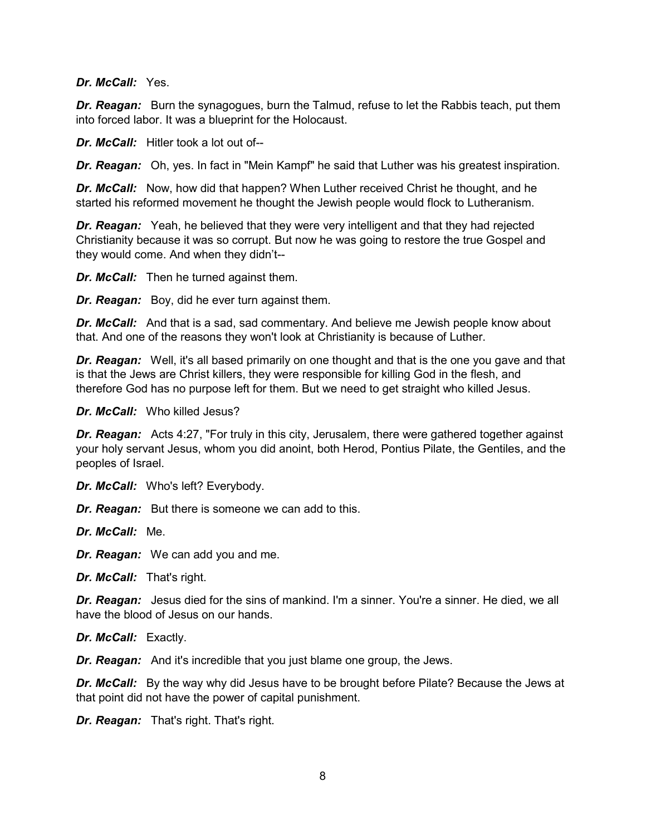*Dr. McCall:* Yes.

*Dr. Reagan:* Burn the synagogues, burn the Talmud, refuse to let the Rabbis teach, put them into forced labor. It was a blueprint for the Holocaust.

*Dr. McCall:* Hitler took a lot out of--

*Dr. Reagan:* Oh, yes. In fact in "Mein Kampf" he said that Luther was his greatest inspiration.

*Dr. McCall:* Now, how did that happen? When Luther received Christ he thought, and he started his reformed movement he thought the Jewish people would flock to Lutheranism.

**Dr. Reagan:** Yeah, he believed that they were very intelligent and that they had rejected Christianity because it was so corrupt. But now he was going to restore the true Gospel and they would come. And when they didn't--

*Dr. McCall:* Then he turned against them.

*Dr. Reagan:* Boy, did he ever turn against them.

*Dr. McCall:* And that is a sad, sad commentary. And believe me Jewish people know about that. And one of the reasons they won't look at Christianity is because of Luther.

**Dr. Reagan:** Well, it's all based primarily on one thought and that is the one you gave and that is that the Jews are Christ killers, they were responsible for killing God in the flesh, and therefore God has no purpose left for them. But we need to get straight who killed Jesus.

*Dr. McCall:* Who killed Jesus?

**Dr. Reagan:** Acts 4:27, "For truly in this city, Jerusalem, there were gathered together against your holy servant Jesus, whom you did anoint, both Herod, Pontius Pilate, the Gentiles, and the peoples of Israel.

*Dr. McCall:* Who's left? Everybody.

*Dr. Reagan:* But there is someone we can add to this.

*Dr. McCall:* Me.

*Dr. Reagan:* We can add you and me.

*Dr. McCall:* That's right.

*Dr. Reagan:* Jesus died for the sins of mankind. I'm a sinner. You're a sinner. He died, we all have the blood of Jesus on our hands.

*Dr. McCall:* Exactly.

*Dr. Reagan:* And it's incredible that you just blame one group, the Jews.

**Dr. McCall:** By the way why did Jesus have to be brought before Pilate? Because the Jews at that point did not have the power of capital punishment.

*Dr. Reagan:* That's right. That's right.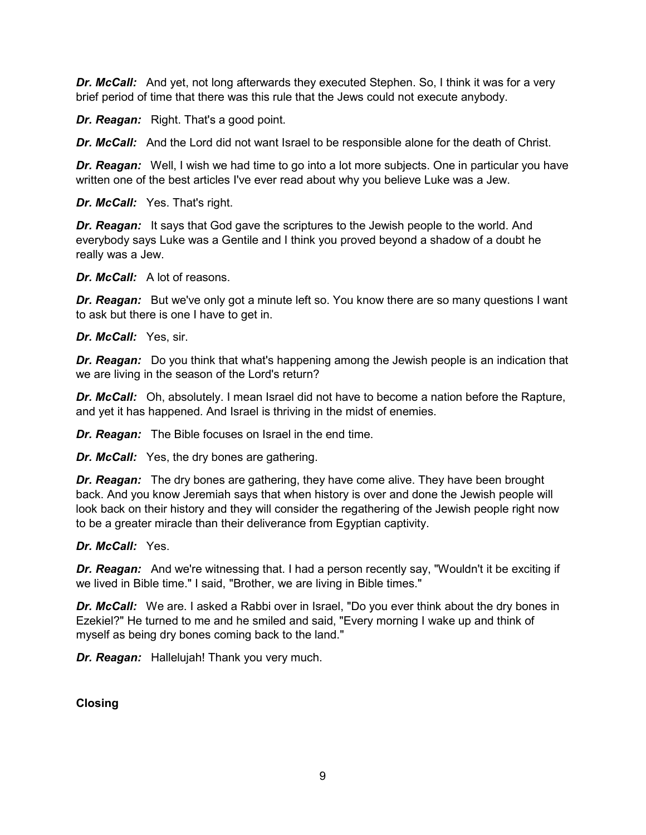**Dr. McCall:** And yet, not long afterwards they executed Stephen. So, I think it was for a very brief period of time that there was this rule that the Jews could not execute anybody.

*Dr. Reagan:* Right. That's a good point.

**Dr. McCall:** And the Lord did not want Israel to be responsible alone for the death of Christ.

*Dr. Reagan:* Well, I wish we had time to go into a lot more subjects. One in particular you have written one of the best articles I've ever read about why you believe Luke was a Jew.

*Dr. McCall:* Yes. That's right.

**Dr. Reagan:** It says that God gave the scriptures to the Jewish people to the world. And everybody says Luke was a Gentile and I think you proved beyond a shadow of a doubt he really was a Jew.

*Dr. McCall:* A lot of reasons.

**Dr. Reagan:** But we've only got a minute left so. You know there are so many questions I want to ask but there is one I have to get in.

*Dr. McCall:* Yes, sir.

**Dr. Reagan:** Do you think that what's happening among the Jewish people is an indication that we are living in the season of the Lord's return?

*Dr. McCall:* Oh, absolutely. I mean Israel did not have to become a nation before the Rapture, and yet it has happened. And Israel is thriving in the midst of enemies.

*Dr. Reagan:* The Bible focuses on Israel in the end time.

*Dr. McCall:* Yes, the dry bones are gathering.

*Dr. Reagan:* The dry bones are gathering, they have come alive. They have been brought back. And you know Jeremiah says that when history is over and done the Jewish people will look back on their history and they will consider the regathering of the Jewish people right now to be a greater miracle than their deliverance from Egyptian captivity.

## *Dr. McCall:* Yes.

**Dr. Reagan:** And we're witnessing that. I had a person recently say, "Wouldn't it be exciting if we lived in Bible time." I said, "Brother, we are living in Bible times."

**Dr. McCall:** We are. I asked a Rabbi over in Israel, "Do you ever think about the dry bones in Ezekiel?" He turned to me and he smiled and said, "Every morning I wake up and think of myself as being dry bones coming back to the land."

*Dr. Reagan:* Hallelujah! Thank you very much.

**Closing**